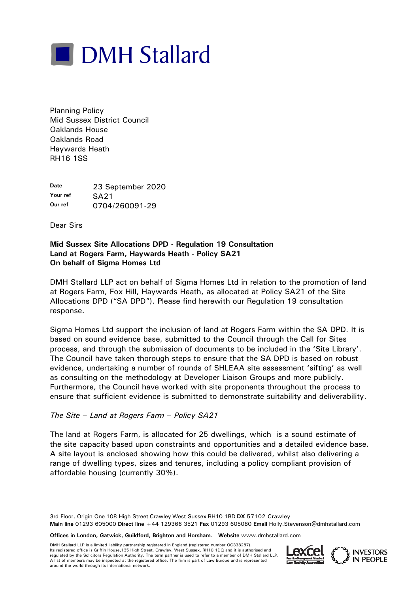

Planning Policy Mid Sussex District Council Oaklands House Oaklands Road Haywards Heath RH16 1SS

**Date** 23 September 2020 **Your ref SA21**<br>Our ref 0.704 **Our ref** 0704/260091-29

Dear Sirs

#### **Mid Sussex Site Allocations DPD - Regulation 19 Consultation Land at Rogers Farm, Haywards Heath - Policy SA21 On behalf of Sigma Homes Ltd**

DMH Stallard LLP act on behalf of Sigma Homes Ltd in relation to the promotion of land at Rogers Farm, Fox Hill, Haywards Heath, as allocated at Policy SA21 of the Site Allocations DPD ("SA DPD"). Please find herewith our Regulation 19 consultation response.

Sigma Homes Ltd support the inclusion of land at Rogers Farm within the SA DPD. It is based on sound evidence base, submitted to the Council through the Call for Sites process, and through the submission of documents to be included in the 'Site Library'. The Council have taken thorough steps to ensure that the SA DPD is based on robust evidence, undertaking a number of rounds of SHLEAA site assessment 'sifting' as well as consulting on the methodology at Developer Liaison Groups and more publicly. Furthermore, the Council have worked with site proponents throughout the process to ensure that sufficient evidence is submitted to demonstrate suitability and deliverability.

# *The Site – Land at Rogers Farm – Policy SA21*

The land at Rogers Farm, is allocated for 25 dwellings, which is a sound estimate of the site capacity based upon constraints and opportunities and a detailed evidence base. A site layout is enclosed showing how this could be delivered, whilst also delivering a range of dwelling types, sizes and tenures, including a policy compliant provision of affordable housing (currently 30%).

3rd Floor, Origin One 108 High Street Crawley West Sussex RH10 1BD **DX** 57102 Crawley **Main line** 01293 605000 **Direct line** +44 129366 3521 **Fax** 01293 605080 **Email** Holly.Stevenson@dmhstallard.com

**Offices in London, Gatwick, Guildford, Brighton and Horsham. Website** www.dmhstallard.com

DMH Stallard LLP is a limited liability partnership registered in England (registered number OC338287). Its registered office is Griffin House,135 High Street, Crawley, West Sussex, RH10 1DQ and it is authorised and regulated by the Solicitors Regulation Authority. The term partner is used to refer to a member of DMH Stallard LLP. A list of members may be inspected at the registered office. The firm is part of Law Europe and is represented<br>around the world through its international network. Its registered office is Griffin House, 135 High Street, Crawley, West Sussex, RH10 1DQ and it is authorised and<br>A list of members may be inspected at the registered office. The firm is part of Law Europe and is represente



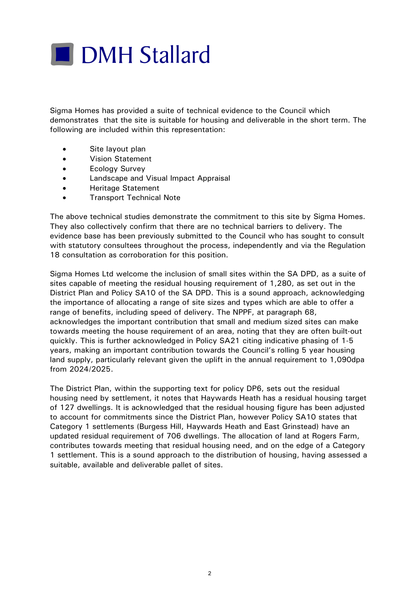

Sigma Homes has provided a suite of technical evidence to the Council which demonstrates that the site is suitable for housing and deliverable in the short term. The following are included within this representation:

- Site layout plan
- Vision Statement
- Ecology Survey
- Landscape and Visual Impact Appraisal
- Heritage Statement
- Transport Technical Note

The above technical studies demonstrate the commitment to this site by Sigma Homes. They also collectively confirm that there are no technical barriers to delivery. The evidence base has been previously submitted to the Council who has sought to consult with statutory consultees throughout the process, independently and via the Regulation 18 consultation as corroboration for this position.

Sigma Homes Ltd welcome the inclusion of small sites within the SA DPD, as a suite of sites capable of meeting the residual housing requirement of 1,280, as set out in the District Plan and Policy SA10 of the SA DPD. This is a sound approach, acknowledging the importance of allocating a range of site sizes and types which are able to offer a range of benefits, including speed of delivery. The NPPF, at paragraph 68, acknowledges the important contribution that small and medium sized sites can make towards meeting the house requirement of an area, noting that they are often built-out quickly. This is further acknowledged in Policy SA21 citing indicative phasing of 1-5 years, making an important contribution towards the Council's rolling 5 year housing land supply, particularly relevant given the uplift in the annual requirement to 1,090dpa from 2024/2025.

The District Plan, within the supporting text for policy DP6, sets out the residual housing need by settlement, it notes that Haywards Heath has a residual housing target of 127 dwellings. It is acknowledged that the residual housing figure has been adjusted to account for commitments since the District Plan, however Policy SA10 states that Category 1 settlements (Burgess Hill, Haywards Heath and East Grinstead) have an updated residual requirement of 706 dwellings. The allocation of land at Rogers Farm, contributes towards meeting that residual housing need, and on the edge of a Category 1 settlement. This is a sound approach to the distribution of housing, having assessed a suitable, available and deliverable pallet of sites.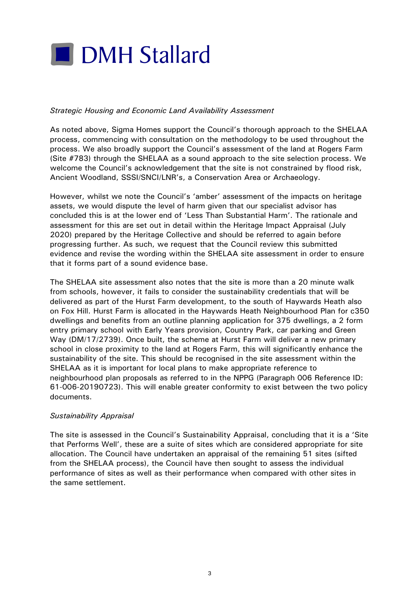

# *Strategic Housing and Economic Land Availability Assessment*

As noted above, Sigma Homes support the Council's thorough approach to the SHELAA process, commencing with consultation on the methodology to be used throughout the process. We also broadly support the Council's assessment of the land at Rogers Farm (Site #783) through the SHELAA as a sound approach to the site selection process. We welcome the Council's acknowledgement that the site is not constrained by flood risk, Ancient Woodland, SSSI/SNCI/LNR's, a Conservation Area or Archaeology.

However, whilst we note the Council's 'amber' assessment of the impacts on heritage assets, we would dispute the level of harm given that our specialist advisor has concluded this is at the lower end of 'Less Than Substantial Harm'. The rationale and assessment for this are set out in detail within the Heritage Impact Appraisal (July 2020) prepared by the Heritage Collective and should be referred to again before progressing further. As such, we request that the Council review this submitted evidence and revise the wording within the SHELAA site assessment in order to ensure that it forms part of a sound evidence base.

The SHELAA site assessment also notes that the site is more than a 20 minute walk from schools, however, it fails to consider the sustainability credentials that will be delivered as part of the Hurst Farm development, to the south of Haywards Heath also on Fox Hill. Hurst Farm is allocated in the Haywards Heath Neighbourhood Plan for c350 dwellings and benefits from an outline planning application for 375 dwellings, a 2 form entry primary school with Early Years provision, Country Park, car parking and Green Way (DM/17/2739). Once built, the scheme at Hurst Farm will deliver a new primary school in close proximity to the land at Rogers Farm, this will significantly enhance the sustainability of the site. This should be recognised in the site assessment within the SHELAA as it is important for local plans to make appropriate reference to neighbourhood plan proposals as referred to in the NPPG (Paragraph 006 Reference ID: 61-006-20190723). This will enable greater conformity to exist between the two policy documents.

# *Sustainability Appraisal*

The site is assessed in the Council's Sustainability Appraisal, concluding that it is a 'Site that Performs Well', these are a suite of sites which are considered appropriate for site allocation. The Council have undertaken an appraisal of the remaining 51 sites (sifted from the SHELAA process), the Council have then sought to assess the individual performance of sites as well as their performance when compared with other sites in the same settlement.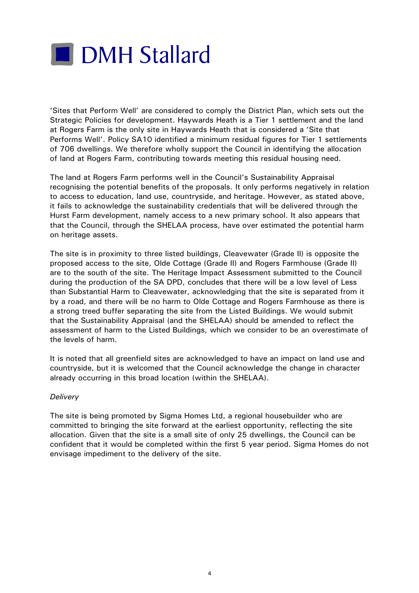

'Sites that Perform Well' are considered to comply the District Plan, which sets out the Strategic Policies for development. Haywards Heath is a Tier 1 settlement and the land at Rogers Farm is the only site in Haywards Heath that is considered a 'Site that Performs Well'. Policy SA10 identified a minimum residual figures for Tier 1 settlements of 706 dwellings. We therefore wholly support the Council in identifying the allocation of land at Rogers Farm, contributing towards meeting this residual housing need.

The land at Rogers Farm performs well in the Council's Sustainability Appraisal recognising the potential benefits of the proposals. It only performs negatively in relation to access to education, land use, countryside, and heritage. However, as stated above, it fails to acknowledge the sustainability credentials that will be delivered through the Hurst Farm development, namely access to a new primary school. It also appears that that the Council, through the SHELAA process, have over estimated the potential harm on heritage assets.

The site is in proximity to three listed buildings, Cleavewater (Grade II) is opposite the proposed access to the site, Olde Cottage (Grade II) and Rogers Farmhouse (Grade II) are to the south of the site. The Heritage Impact Assessment submitted to the Council during the production of the SA DPD, concludes that there will be a low level of Less than Substantial Harm to Cleavewater, acknowledging that the site is separated from it by a road, and there will be no harm to Olde Cottage and Rogers Farmhouse as there is a strong treed buffer separating the site from the Listed Buildings. We would submit that the Sustainability Appraisal (and the SHELAA) should be amended to reflect the assessment of harm to the Listed Buildings, which we consider to be an overestimate of the levels of harm.

It is noted that all greenfield sites are acknowledged to have an impact on land use and countryside, but it is welcomed that the Council acknowledge the change in character already occurring in this broad location (within the SHELAA).

#### *Delivery*

The site is being promoted by Sigma Homes Ltd, a regional housebuilder who are committed to bringing the site forward at the earliest opportunity, reflecting the site allocation. Given that the site is a small site of only 25 dwellings, the Council can be confident that it would be completed within the first 5 year period. Sigma Homes do not envisage impediment to the delivery of the site.